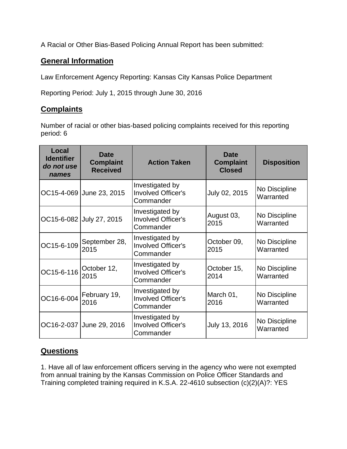A Racial or Other Bias-Based Policing Annual Report has been submitted:

## **General Information**

Law Enforcement Agency Reporting: Kansas City Kansas Police Department

Reporting Period: July 1, 2015 through June 30, 2016

## **Complaints**

Number of racial or other bias-based policing complaints received for this reporting period: 6

| Local<br><b>Identifier</b><br>do not use<br>names | <b>Date</b><br><b>Complaint</b><br><b>Received</b> | <b>Action Taken</b>                                       | <b>Date</b><br><b>Complaint</b><br><b>Closed</b> | <b>Disposition</b>         |
|---------------------------------------------------|----------------------------------------------------|-----------------------------------------------------------|--------------------------------------------------|----------------------------|
|                                                   | OC15-4-069 June 23, 2015                           | Investigated by<br><b>Involved Officer's</b><br>Commander | July 02, 2015                                    | No Discipline<br>Warranted |
|                                                   | OC15-6-082 July 27, 2015                           | Investigated by<br><b>Involved Officer's</b><br>Commander | August 03,<br>2015                               | No Discipline<br>Warranted |
| OC15-6-109                                        | September 28,<br>2015                              | Investigated by<br><b>Involved Officer's</b><br>Commander | October 09,<br>2015                              | No Discipline<br>Warranted |
| OC15-6-116                                        | October 12,<br>2015                                | Investigated by<br><b>Involved Officer's</b><br>Commander | October 15,<br>2014                              | No Discipline<br>Warranted |
| OC16-6-004                                        | February 19,<br>2016                               | Investigated by<br><b>Involved Officer's</b><br>Commander | March 01,<br>2016                                | No Discipline<br>Warranted |
|                                                   | OC16-2-037 June 29, 2016                           | Investigated by<br>Involved Officer's<br>Commander        | July 13, 2016                                    | No Discipline<br>Warranted |

## **Questions**

1. Have all of law enforcement officers serving in the agency who were not exempted from annual training by the Kansas Commission on Police Officer Standards and Training completed training required in K.S.A. 22-4610 subsection (c)(2)(A)?: YES